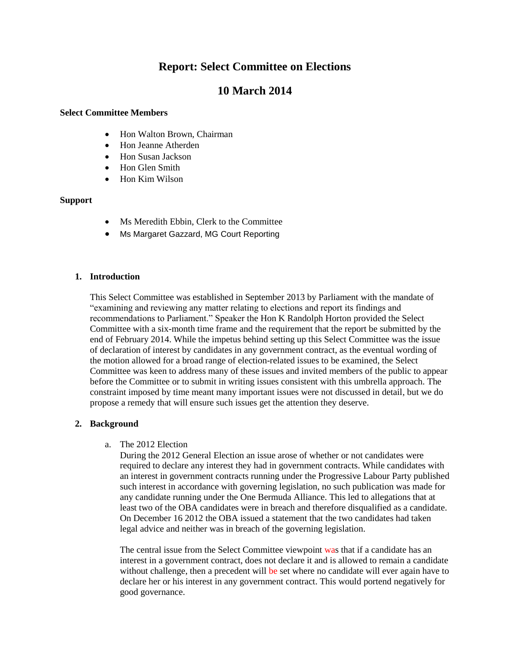# **Report: Select Committee on Elections**

# **10 March 2014**

#### **Select Committee Members**

- Hon Walton Brown, Chairman
- Hon Jeanne Atherden
- Hon Susan Jackson
- Hon Glen Smith
- Hon Kim Wilson

### **Support**

- Ms Meredith Ebbin, Clerk to the Committee
- Ms Margaret Gazzard, MG Court Reporting

### **1. Introduction**

This Select Committee was established in September 2013 by Parliament with the mandate of ―examining and reviewing any matter relating to elections and report its findings and recommendations to Parliament." Speaker the Hon K Randolph Horton provided the Select Committee with a six-month time frame and the requirement that the report be submitted by the end of February 2014. While the impetus behind setting up this Select Committee was the issue of declaration of interest by candidates in any government contract, as the eventual wording of the motion allowed for a broad range of election-related issues to be examined, the Select Committee was keen to address many of these issues and invited members of the public to appear before the Committee or to submit in writing issues consistent with this umbrella approach. The constraint imposed by time meant many important issues were not discussed in detail, but we do propose a remedy that will ensure such issues get the attention they deserve.

### **2. Background**

### a. The 2012 Election

During the 2012 General Election an issue arose of whether or not candidates were required to declare any interest they had in government contracts. While candidates with an interest in government contracts running under the Progressive Labour Party published such interest in accordance with governing legislation, no such publication was made for any candidate running under the One Bermuda Alliance. This led to allegations that at least two of the OBA candidates were in breach and therefore disqualified as a candidate. On December 16 2012 the OBA issued a statement that the two candidates had taken legal advice and neither was in breach of the governing legislation.

The central issue from the Select Committee viewpoint was that if a candidate has an interest in a government contract, does not declare it and is allowed to remain a candidate without challenge, then a precedent will be set where no candidate will ever again have to declare her or his interest in any government contract. This would portend negatively for good governance.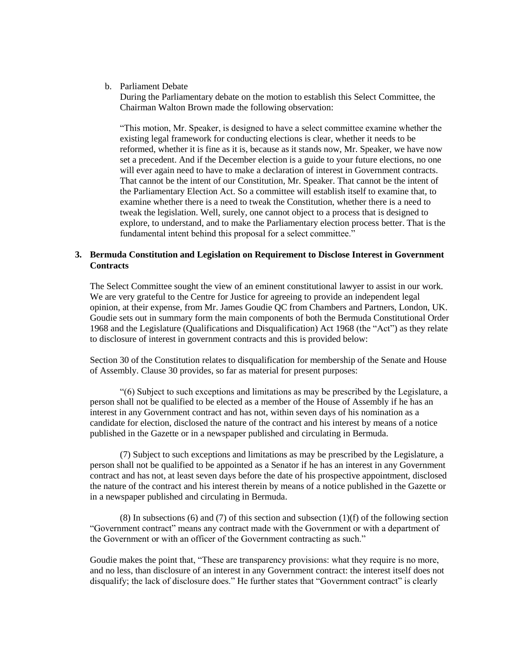#### b. Parliament Debate

During the Parliamentary debate on the motion to establish this Select Committee, the Chairman Walton Brown made the following observation:

―This motion, Mr. Speaker, is designed to have a select committee examine whether the existing legal framework for conducting elections is clear, whether it needs to be reformed, whether it is fine as it is, because as it stands now, Mr. Speaker, we have now set a precedent. And if the December election is a guide to your future elections, no one will ever again need to have to make a declaration of interest in Government contracts. That cannot be the intent of our Constitution, Mr. Speaker. That cannot be the intent of the Parliamentary Election Act. So a committee will establish itself to examine that, to examine whether there is a need to tweak the Constitution, whether there is a need to tweak the legislation. Well, surely, one cannot object to a process that is designed to explore, to understand, and to make the Parliamentary election process better. That is the fundamental intent behind this proposal for a select committee."

#### **3. Bermuda Constitution and Legislation on Requirement to Disclose Interest in Government Contracts**

The Select Committee sought the view of an eminent constitutional lawyer to assist in our work. We are very grateful to the Centre for Justice for agreeing to provide an independent legal opinion, at their expense, from Mr. James Goudie QC from Chambers and Partners, London, UK. Goudie sets out in summary form the main components of both the Bermuda Constitutional Order 1968 and the Legislature (Qualifications and Disqualification) Act 1968 (the "Act") as they relate to disclosure of interest in government contracts and this is provided below:

Section 30 of the Constitution relates to disqualification for membership of the Senate and House of Assembly. Clause 30 provides, so far as material for present purposes:

―(6) Subject to such exceptions and limitations as may be prescribed by the Legislature, a person shall not be qualified to be elected as a member of the House of Assembly if he has an interest in any Government contract and has not, within seven days of his nomination as a candidate for election, disclosed the nature of the contract and his interest by means of a notice published in the Gazette or in a newspaper published and circulating in Bermuda.

(7) Subject to such exceptions and limitations as may be prescribed by the Legislature, a person shall not be qualified to be appointed as a Senator if he has an interest in any Government contract and has not, at least seven days before the date of his prospective appointment, disclosed the nature of the contract and his interest therein by means of a notice published in the Gazette or in a newspaper published and circulating in Bermuda.

 $(8)$  In subsections  $(6)$  and  $(7)$  of this section and subsection  $(1)(f)$  of the following section ―Government contract‖ means any contract made with the Government or with a department of the Government or with an officer of the Government contracting as such."

Goudie makes the point that, "These are transparency provisions: what they require is no more, and no less, than disclosure of an interest in any Government contract: the interest itself does not disqualify; the lack of disclosure does." He further states that "Government contract" is clearly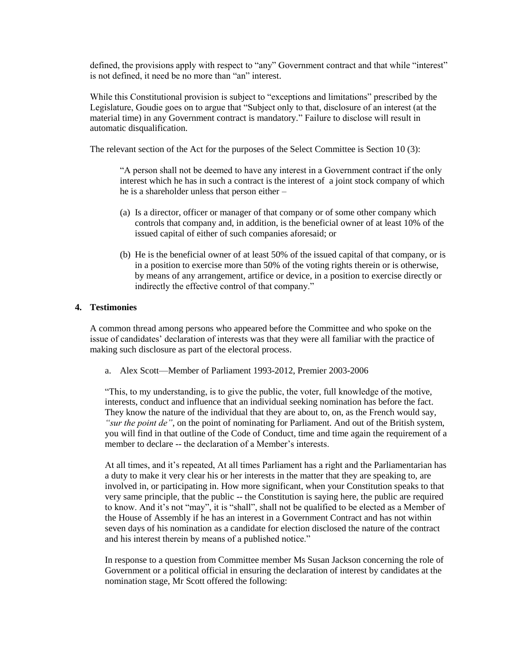defined, the provisions apply with respect to "any" Government contract and that while "interest" is not defined, it need be no more than "an" interest.

While this Constitutional provision is subject to "exceptions and limitations" prescribed by the Legislature, Goudie goes on to argue that "Subject only to that, disclosure of an interest (at the material time) in any Government contract is mandatory." Failure to disclose will result in automatic disqualification.

The relevant section of the Act for the purposes of the Select Committee is Section 10 (3):

―A person shall not be deemed to have any interest in a Government contract if the only interest which he has in such a contract is the interest of a joint stock company of which he is a shareholder unless that person either –

- (a) Is a director, officer or manager of that company or of some other company which controls that company and, in addition, is the beneficial owner of at least 10% of the issued capital of either of such companies aforesaid; or
- (b) He is the beneficial owner of at least 50% of the issued capital of that company, or is in a position to exercise more than 50% of the voting rights therein or is otherwise, by means of any arrangement, artifice or device, in a position to exercise directly or indirectly the effective control of that company."

### **4. Testimonies**

A common thread among persons who appeared before the Committee and who spoke on the issue of candidates' declaration of interests was that they were all familiar with the practice of making such disclosure as part of the electoral process.

a. Alex Scott—Member of Parliament 1993-2012, Premier 2003-2006

―This, to my understanding, is to give the public, the voter, full knowledge of the motive, interests, conduct and influence that an individual seeking nomination has before the fact. They know the nature of the individual that they are about to, on, as the French would say, *"sur the point de"*, on the point of nominating for Parliament. And out of the British system, you will find in that outline of the Code of Conduct, time and time again the requirement of a member to declare -- the declaration of a Member's interests.

At all times, and it's repeated, At all times Parliament has a right and the Parliamentarian has a duty to make it very clear his or her interests in the matter that they are speaking to, are involved in, or participating in. How more significant, when your Constitution speaks to that very same principle, that the public -- the Constitution is saying here, the public are required to know. And it's not "may", it is "shall", shall not be qualified to be elected as a Member of the House of Assembly if he has an interest in a Government Contract and has not within seven days of his nomination as a candidate for election disclosed the nature of the contract and his interest therein by means of a published notice."

In response to a question from Committee member Ms Susan Jackson concerning the role of Government or a political official in ensuring the declaration of interest by candidates at the nomination stage, Mr Scott offered the following: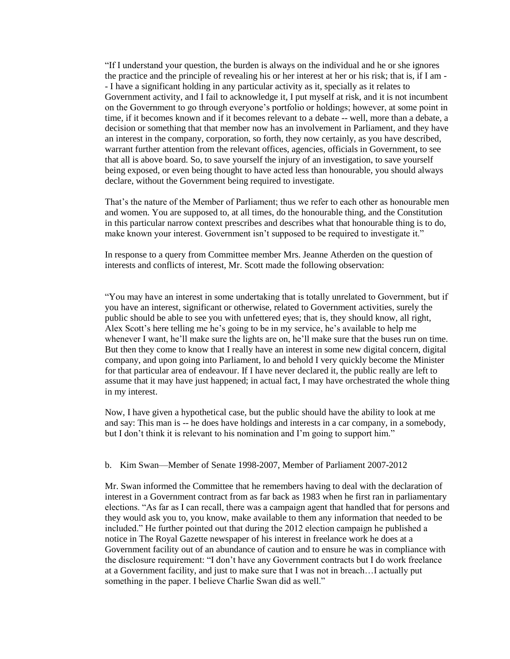―If I understand your question, the burden is always on the individual and he or she ignores the practice and the principle of revealing his or her interest at her or his risk; that is, if I am - - I have a significant holding in any particular activity as it, specially as it relates to Government activity, and I fail to acknowledge it, I put myself at risk, and it is not incumbent on the Government to go through everyone's portfolio or holdings; however, at some point in time, if it becomes known and if it becomes relevant to a debate -- well, more than a debate, a decision or something that that member now has an involvement in Parliament, and they have an interest in the company, corporation, so forth, they now certainly, as you have described, warrant further attention from the relevant offices, agencies, officials in Government, to see that all is above board. So, to save yourself the injury of an investigation, to save yourself being exposed, or even being thought to have acted less than honourable, you should always declare, without the Government being required to investigate.

That's the nature of the Member of Parliament; thus we refer to each other as honourable men and women. You are supposed to, at all times, do the honourable thing, and the Constitution in this particular narrow context prescribes and describes what that honourable thing is to do, make known your interest. Government isn't supposed to be required to investigate it."

In response to a query from Committee member Mrs. Jeanne Atherden on the question of interests and conflicts of interest, Mr. Scott made the following observation:

―You may have an interest in some undertaking that is totally unrelated to Government, but if you have an interest, significant or otherwise, related to Government activities, surely the public should be able to see you with unfettered eyes; that is, they should know, all right, Alex Scott's here telling me he's going to be in my service, he's available to help me whenever I want, he'll make sure the lights are on, he'll make sure that the buses run on time. But then they come to know that I really have an interest in some new digital concern, digital company, and upon going into Parliament, lo and behold I very quickly become the Minister for that particular area of endeavour. If I have never declared it, the public really are left to assume that it may have just happened; in actual fact, I may have orchestrated the whole thing in my interest.

Now, I have given a hypothetical case, but the public should have the ability to look at me and say: This man is -- he does have holdings and interests in a car company, in a somebody, but I don't think it is relevant to his nomination and I'm going to support him."

b. Kim Swan—Member of Senate 1998-2007, Member of Parliament 2007-2012

Mr. Swan informed the Committee that he remembers having to deal with the declaration of interest in a Government contract from as far back as 1983 when he first ran in parliamentary elections. "As far as I can recall, there was a campaign agent that handled that for persons and they would ask you to, you know, make available to them any information that needed to be included." He further pointed out that during the 2012 election campaign he published a notice in The Royal Gazette newspaper of his interest in freelance work he does at a Government facility out of an abundance of caution and to ensure he was in compliance with the disclosure requirement: "I don't have any Government contracts but I do work freelance at a Government facility, and just to make sure that I was not in breach…I actually put something in the paper. I believe Charlie Swan did as well."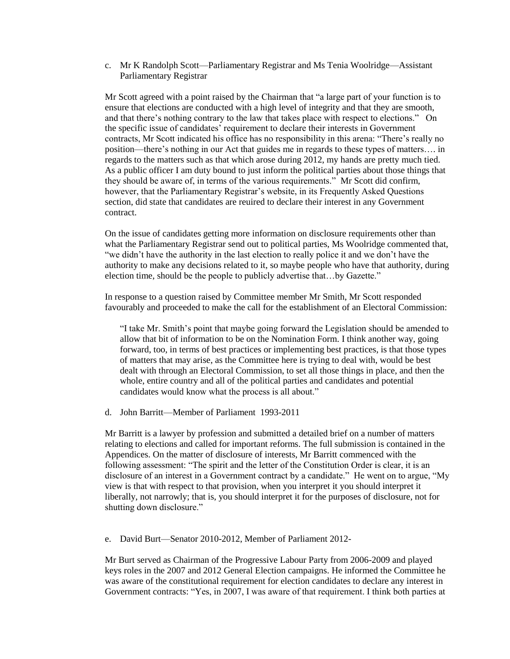c. Mr K Randolph Scott—Parliamentary Registrar and Ms Tenia Woolridge—Assistant Parliamentary Registrar

Mr Scott agreed with a point raised by the Chairman that "a large part of your function is to ensure that elections are conducted with a high level of integrity and that they are smooth, and that there's nothing contrary to the law that takes place with respect to elections." On the specific issue of candidates' requirement to declare their interests in Government contracts, Mr Scott indicated his office has no responsibility in this arena: "There's really no position—there's nothing in our Act that guides me in regards to these types of matters…. in regards to the matters such as that which arose during 2012, my hands are pretty much tied. As a public officer I am duty bound to just inform the political parties about those things that they should be aware of, in terms of the various requirements." Mr Scott did confirm, however, that the Parliamentary Registrar's website, in its Frequently Asked Questions section, did state that candidates are reuired to declare their interest in any Government contract.

On the issue of candidates getting more information on disclosure requirements other than what the Parliamentary Registrar send out to political parties, Ms Woolridge commented that, "we didn't have the authority in the last election to really police it and we don't have the authority to make any decisions related to it, so maybe people who have that authority, during election time, should be the people to publicly advertise that...by Gazette."

In response to a question raised by Committee member Mr Smith, Mr Scott responded favourably and proceeded to make the call for the establishment of an Electoral Commission:

"I take Mr. Smith's point that maybe going forward the Legislation should be amended to allow that bit of information to be on the Nomination Form. I think another way, going forward, too, in terms of best practices or implementing best practices, is that those types of matters that may arise, as the Committee here is trying to deal with, would be best dealt with through an Electoral Commission, to set all those things in place, and then the whole, entire country and all of the political parties and candidates and potential candidates would know what the process is all about."

d. John Barritt—Member of Parliament 1993-2011

Mr Barritt is a lawyer by profession and submitted a detailed brief on a number of matters relating to elections and called for important reforms. The full submission is contained in the Appendices. On the matter of disclosure of interests, Mr Barritt commenced with the following assessment: "The spirit and the letter of the Constitution Order is clear, it is an disclosure of an interest in a Government contract by a candidate." He went on to argue, "My view is that with respect to that provision, when you interpret it you should interpret it liberally, not narrowly; that is, you should interpret it for the purposes of disclosure, not for shutting down disclosure."

e. David Burt—Senator 2010-2012, Member of Parliament 2012-

Mr Burt served as Chairman of the Progressive Labour Party from 2006-2009 and played keys roles in the 2007 and 2012 General Election campaigns. He informed the Committee he was aware of the constitutional requirement for election candidates to declare any interest in Government contracts: "Yes, in 2007, I was aware of that requirement. I think both parties at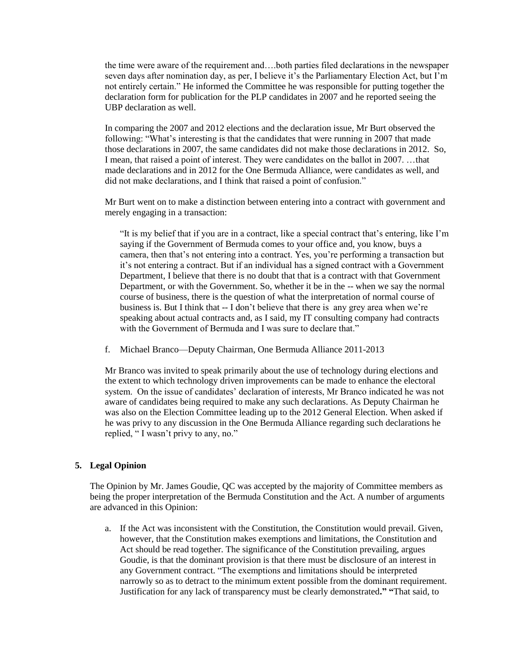the time were aware of the requirement and….both parties filed declarations in the newspaper seven days after nomination day, as per, I believe it's the Parliamentary Election Act, but I'm not entirely certain." He informed the Committee he was responsible for putting together the declaration form for publication for the PLP candidates in 2007 and he reported seeing the UBP declaration as well.

In comparing the 2007 and 2012 elections and the declaration issue, Mr Burt observed the following: "What's interesting is that the candidates that were running in 2007 that made those declarations in 2007, the same candidates did not make those declarations in 2012. So, I mean, that raised a point of interest. They were candidates on the ballot in 2007. …that made declarations and in 2012 for the One Bermuda Alliance, were candidates as well, and did not make declarations, and I think that raised a point of confusion."

Mr Burt went on to make a distinction between entering into a contract with government and merely engaging in a transaction:

―It is my belief that if you are in a contract, like a special contract that's entering, like I'm saying if the Government of Bermuda comes to your office and, you know, buys a camera, then that's not entering into a contract. Yes, you're performing a transaction but it's not entering a contract. But if an individual has a signed contract with a Government Department, I believe that there is no doubt that that is a contract with that Government Department, or with the Government. So, whether it be in the -- when we say the normal course of business, there is the question of what the interpretation of normal course of business is. But I think that -- I don't believe that there is any grey area when we're speaking about actual contracts and, as I said, my IT consulting company had contracts with the Government of Bermuda and I was sure to declare that."

f. Michael Branco—Deputy Chairman, One Bermuda Alliance 2011-2013

Mr Branco was invited to speak primarily about the use of technology during elections and the extent to which technology driven improvements can be made to enhance the electoral system. On the issue of candidates' declaration of interests, Mr Branco indicated he was not aware of candidates being required to make any such declarations. As Deputy Chairman he was also on the Election Committee leading up to the 2012 General Election. When asked if he was privy to any discussion in the One Bermuda Alliance regarding such declarations he replied, "I wasn't privy to any, no."

## **5. Legal Opinion**

The Opinion by Mr. James Goudie, QC was accepted by the majority of Committee members as being the proper interpretation of the Bermuda Constitution and the Act. A number of arguments are advanced in this Opinion:

a. If the Act was inconsistent with the Constitution, the Constitution would prevail. Given, however, that the Constitution makes exemptions and limitations, the Constitution and Act should be read together. The significance of the Constitution prevailing, argues Goudie, is that the dominant provision is that there must be disclosure of an interest in any Government contract. "The exemptions and limitations should be interpreted narrowly so as to detract to the minimum extent possible from the dominant requirement. Justification for any lack of transparency must be clearly demonstrated**." "**That said, to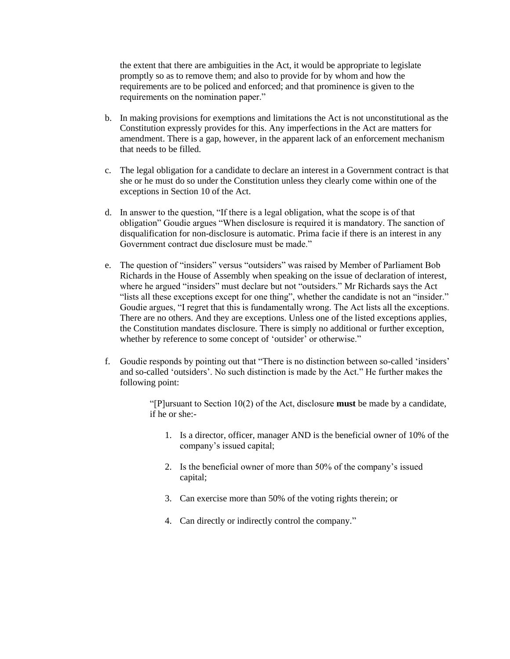the extent that there are ambiguities in the Act, it would be appropriate to legislate promptly so as to remove them; and also to provide for by whom and how the requirements are to be policed and enforced; and that prominence is given to the requirements on the nomination paper."

- b. In making provisions for exemptions and limitations the Act is not unconstitutional as the Constitution expressly provides for this. Any imperfections in the Act are matters for amendment. There is a gap, however, in the apparent lack of an enforcement mechanism that needs to be filled.
- c. The legal obligation for a candidate to declare an interest in a Government contract is that she or he must do so under the Constitution unless they clearly come within one of the exceptions in Section 10 of the Act.
- d. In answer to the question, "If there is a legal obligation, what the scope is of that obligation" Goudie argues "When disclosure is required it is mandatory. The sanction of disqualification for non-disclosure is automatic. Prima facie if there is an interest in any Government contract due disclosure must be made."
- e. The question of "insiders" versus "outsiders" was raised by Member of Parliament Bob Richards in the House of Assembly when speaking on the issue of declaration of interest, where he argued "insiders" must declare but not "outsiders." Mr Richards says the Act "lists all these exceptions except for one thing", whether the candidate is not an "insider." Goudie argues, "I regret that this is fundamentally wrong. The Act lists all the exceptions. There are no others. And they are exceptions. Unless one of the listed exceptions applies, the Constitution mandates disclosure. There is simply no additional or further exception, whether by reference to some concept of 'outsider' or otherwise."
- f. Goudie responds by pointing out that "There is no distinction between so-called 'insiders' and so-called 'outsiders'. No such distinction is made by the Act." He further makes the following point:

―[P]ursuant to Section 10(2) of the Act, disclosure **must** be made by a candidate, if he or she:-

- 1. Is a director, officer, manager AND is the beneficial owner of 10% of the company's issued capital;
- 2. Is the beneficial owner of more than 50% of the company's issued capital;
- 3. Can exercise more than 50% of the voting rights therein; or
- 4. Can directly or indirectly control the company."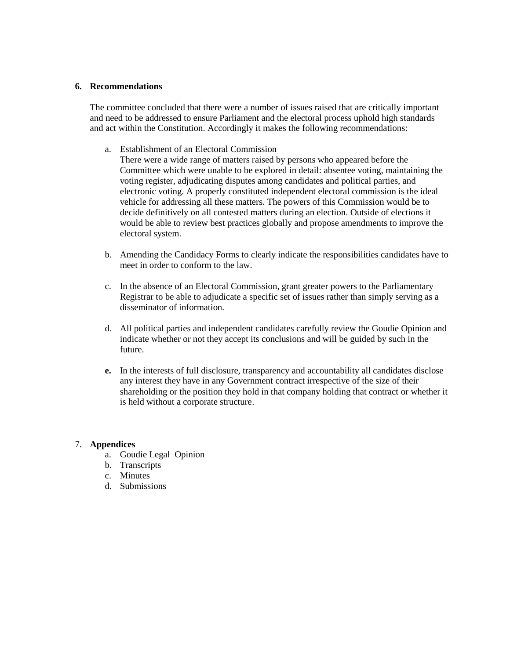#### **6. Recommendations**

The committee concluded that there were a number of issues raised that are critically important and need to be addressed to ensure Parliament and the electoral process uphold high standards and act within the Constitution. Accordingly it makes the following recommendations:

a. Establishment of an Electoral Commission

There were a wide range of matters raised by persons who appeared before the Committee which were unable to be explored in detail: absentee voting, maintaining the voting register, adjudicating disputes among candidates and political parties, and electronic voting. A properly constituted independent electoral commission is the ideal vehicle for addressing all these matters. The powers of this Commission would be to decide definitively on all contested matters during an election. Outside of elections it would be able to review best practices globally and propose amendments to improve the electoral system.

- b. Amending the Candidacy Forms to clearly indicate the responsibilities candidates have to meet in order to conform to the law.
- c. In the absence of an Electoral Commission, grant greater powers to the Parliamentary Registrar to be able to adjudicate a specific set of issues rather than simply serving as a disseminator of information.
- d. All political parties and independent candidates carefully review the Goudie Opinion and indicate whether or not they accept its conclusions and will be guided by such in the future.
- **e.** In the interests of full disclosure, transparency and accountability all candidates disclose any interest they have in any Government contract irrespective of the size of their shareholding or the position they hold in that company holding that contract or whether it is held without a corporate structure.

### 7. **Appendices**

- a. Goudie Legal Opinion
- b. Transcripts
- c. Minutes
- d. Submissions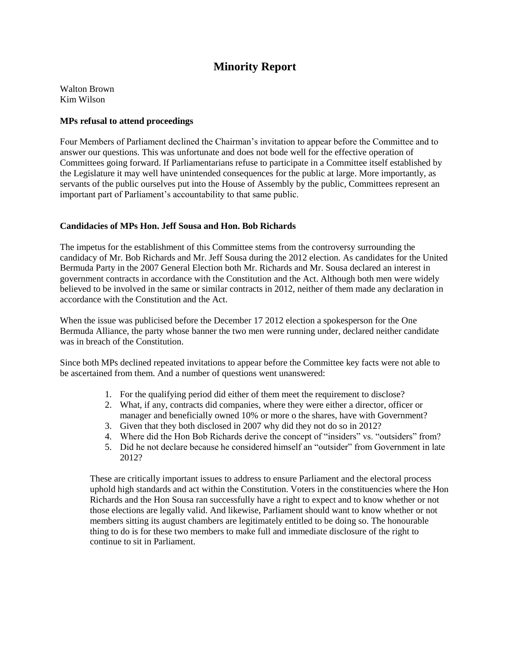# **Minority Report**

Walton Brown Kim Wilson

#### **MPs refusal to attend proceedings**

Four Members of Parliament declined the Chairman's invitation to appear before the Committee and to answer our questions. This was unfortunate and does not bode well for the effective operation of Committees going forward. If Parliamentarians refuse to participate in a Committee itself established by the Legislature it may well have unintended consequences for the public at large. More importantly, as servants of the public ourselves put into the House of Assembly by the public, Committees represent an important part of Parliament's accountability to that same public.

#### **Candidacies of MPs Hon. Jeff Sousa and Hon. Bob Richards**

The impetus for the establishment of this Committee stems from the controversy surrounding the candidacy of Mr. Bob Richards and Mr. Jeff Sousa during the 2012 election. As candidates for the United Bermuda Party in the 2007 General Election both Mr. Richards and Mr. Sousa declared an interest in government contracts in accordance with the Constitution and the Act. Although both men were widely believed to be involved in the same or similar contracts in 2012, neither of them made any declaration in accordance with the Constitution and the Act.

When the issue was publicised before the December 17 2012 election a spokesperson for the One Bermuda Alliance, the party whose banner the two men were running under, declared neither candidate was in breach of the Constitution.

Since both MPs declined repeated invitations to appear before the Committee key facts were not able to be ascertained from them. And a number of questions went unanswered:

- 1. For the qualifying period did either of them meet the requirement to disclose?
- 2. What, if any, contracts did companies, where they were either a director, officer or manager and beneficially owned 10% or more o the shares, have with Government?
- 3. Given that they both disclosed in 2007 why did they not do so in 2012?
- 4. Where did the Hon Bob Richards derive the concept of "insiders" vs. "outsiders" from?
- 5. Did he not declare because he considered himself an "outsider" from Government in late 2012?

These are critically important issues to address to ensure Parliament and the electoral process uphold high standards and act within the Constitution. Voters in the constituencies where the Hon Richards and the Hon Sousa ran successfully have a right to expect and to know whether or not those elections are legally valid. And likewise, Parliament should want to know whether or not members sitting its august chambers are legitimately entitled to be doing so. The honourable thing to do is for these two members to make full and immediate disclosure of the right to continue to sit in Parliament.